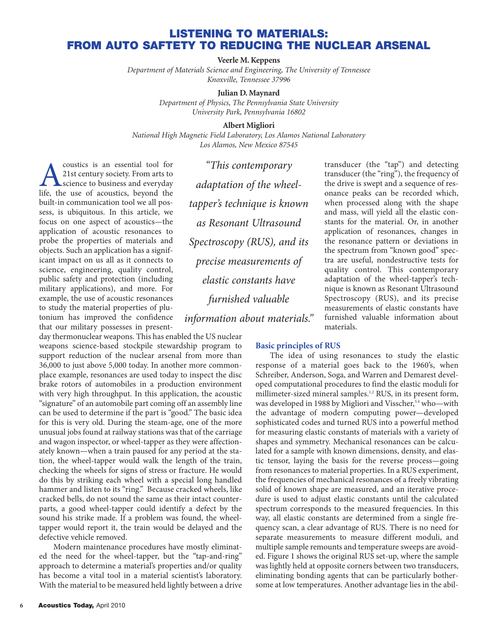# **LISTENING TO MATERIALS: FROM AUTO SAFTETY TO REDUCING THE NUCLEAR ARSENAL**

**Veerle M. Keppens**

*Department of Materials Science and Engineering, The University of Tennessee Knoxville, Tennessee 37996*

#### **Julian D. Maynard**

*Department of Physics, The Pennsylvania State University University Park, Pennsylvania 16802*

#### **Albert Migliori**

*National High Magnetic Field Laboratory, Los Alamos National Laboratory Los Alamos, New Mexico 87545*

**A** coustics is an essential tool for<br>21st century society. From arts to<br>science to business and everyday<br>life, the use of acoustics, beyond the 21st century society. From arts to science to business and everyday life, the use of acoustics, beyond the built-in communication tool we all possess, is ubiquitous. In this article, we focus on one aspect of acoustics—the application of acoustic resonances to probe the properties of materials and objects. Such an application has a significant impact on us all as it connects to science, engineering, quality control, public safety and protection (including military applications), and more. For example, the use of acoustic resonances to study the material properties of plutonium has improved the confidence that our military possesses in present-

day thermonuclear weapons. This has enabled the US nuclear weapons science-based stockpile stewardship program to support reduction of the nuclear arsenal from more than 36,000 to just above 5,000 today. In another more commonplace example, resonances are used today to inspect the disc brake rotors of automobiles in a production environment with very high throughput. In this application, the acoustic "signature" of an automobile part coming off an assembly line can be used to determine if the part is "good." The basic idea for this is very old. During the steam-age, one of the more unusual jobs found at railway stations was that of the carriage and wagon inspector, or wheel-tapper as they were affectionately known—when a train paused for any period at the station, the wheel-tapper would walk the length of the train, checking the wheels for signs of stress or fracture. He would do this by striking each wheel with a special long handled hammer and listen to its "ring." Because cracked wheels, like cracked bells, do not sound the same as their intact counterparts, a good wheel-tapper could identify a defect by the sound his strike made. If a problem was found, the wheeltapper would report it, the train would be delayed and the defective vehicle removed.

Modern maintenance procedures have mostly eliminated the need for the wheel-tapper, but the "tap-and-ring" approach to determine a material's properties and/or quality has become a vital tool in a material scientist's laboratory. With the material to be measured held lightly between a drive

*"This contemporary adaptation of the wheeltapper's technique is known as Resonant Ultrasound Spectroscopy (RUS), and its precise measurements of elastic constants have furnished valuable*

*information about materials."*

### **Basic principles of RUS**

The idea of using resonances to study the elastic response of a material goes back to the 1960's, when Schreiber, Anderson, Soga, and Warren and Demarest developed computational procedures to find the elastic moduli for millimeter-sized mineral samples.<sup>1,2</sup> RUS, in its present form, was developed in 1988 by Migliori and Visscher,<sup>3,4</sup> who—with the advantage of modern computing power—developed sophisticated codes and turned RUS into a powerful method for measuring elastic constants of materials with a variety of shapes and symmetry. Mechanical resonances can be calculated for a sample with known dimensions, density, and elastic tensor, laying the basis for the reverse process—going from resonances to material properties. In a RUS experiment, the frequencies of mechanical resonances of a freely vibrating solid of known shape are measured, and an iterative procedure is used to adjust elastic constants until the calculated spectrum corresponds to the measured frequencies. In this way, all elastic constants are determined from a single frequency scan, a clear advantage of RUS. There is no need for separate measurements to measure different moduli, and multiple sample remounts and temperature sweeps are avoided. Figure 1 shows the original RUS set-up, where the sample was lightly held at opposite corners between two transducers, eliminating bonding agents that can be particularly bothersome at low temperatures. Another advantage lies in the abil-

transducer (the "ring"), the frequency of the drive is swept and a sequence of resonance peaks can be recorded which, when processed along with the shape and mass, will yield all the elastic constants for the material. Or, in another application of resonances, changes in the resonance pattern or deviations in the spectrum from "known good" spectra are useful, nondestructive tests for quality control. This contemporary adaptation of the wheel-tapper's technique is known as Resonant Ultrasound Spectroscopy (RUS), and its precise measurements of elastic constants have furnished valuable information about materials.

transducer (the "tap") and detecting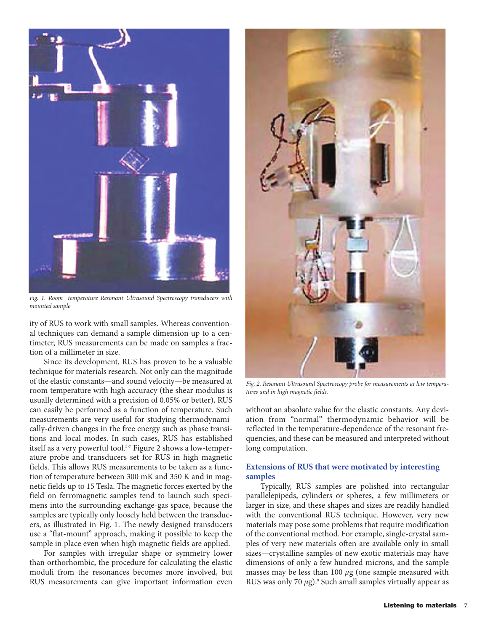

*Fig. 1. Room temperature Resonant Ultrasound Spectroscopy transducers with mounted sample*

ity of RUS to work with small samples. Whereas conventional techniques can demand a sample dimension up to a centimeter, RUS measurements can be made on samples a fraction of a millimeter in size.

Since its development, RUS has proven to be a valuable technique for materials research. Not only can the magnitude of the elastic constants—and sound velocity—be measured at room temperature with high accuracy (the shear modulus is usually determined with a precision of 0.05% or better), RUS can easily be performed as a function of temperature. Such measurements are very useful for studying thermodynamically-driven changes in the free energy such as phase transitions and local modes. In such cases, RUS has established itself as a very powerful tool.<sup>5-7</sup> Figure 2 shows a low-temperature probe and transducers set for RUS in high magnetic fields. This allows RUS measurements to be taken as a function of temperature between 300 mK and 350 K and in magnetic fields up to 15 Tesla. The magnetic forces exerted by the field on ferromagnetic samples tend to launch such specimens into the surrounding exchange-gas space, because the samples are typically only loosely held between the transducers, as illustrated in Fig. 1. The newly designed transducers use a "flat-mount" approach, making it possible to keep the sample in place even when high magnetic fields are applied.

For samples with irregular shape or symmetry lower than orthorhombic, the procedure for calculating the elastic moduli from the resonances becomes more involved, but RUS measurements can give important information even



*Fig. 2. Resonant Ultrasound Spectroscopy probe for measurements at low temperatures and in high magnetic fields.* 

without an absolute value for the elastic constants. Any deviation from "normal" thermodynamic behavior will be reflected in the temperature-dependence of the resonant frequencies, and these can be measured and interpreted without long computation.

## **Extensions of RUS that were motivated by interesting samples**

Typically, RUS samples are polished into rectangular parallelepipeds, cylinders or spheres, a few millimeters or larger in size, and these shapes and sizes are readily handled with the conventional RUS technique. However, very new materials may pose some problems that require modification of the conventional method. For example, single-crystal samples of very new materials often are available only in small sizes—crystalline samples of new exotic materials may have dimensions of only a few hundred microns, and the sample masses may be less than 100 *µ*g (one sample measured with RUS was only 70 *μ*g).<sup>8</sup> Such small samples virtually appear as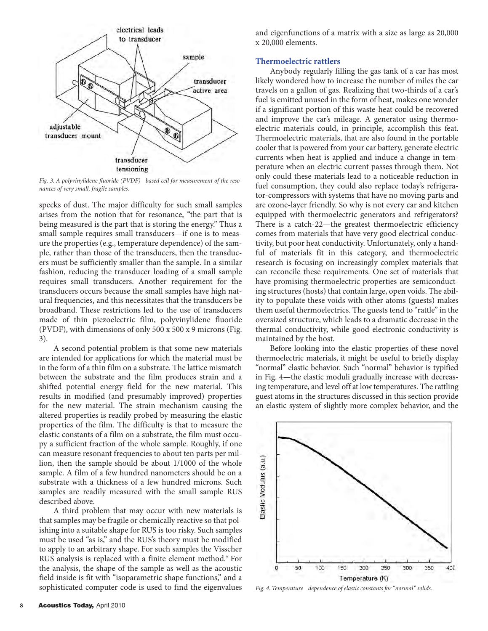

*Fig. 3. A polyvinylidene fluoride (PVDF) based cell for measurement of the resonances of very small, fragile samples.*

specks of dust. The major difficulty for such small samples arises from the notion that for resonance, "the part that is being measured is the part that is storing the energy." Thus a small sample requires small transducers—if one is to measure the properties (e.g., temperature dependence) of the sample, rather than those of the transducers, then the transducers must be sufficiently smaller than the sample. In a similar fashion, reducing the transducer loading of a small sample requires small transducers. Another requirement for the transducers occurs because the small samples have high natural frequencies, and this necessitates that the transducers be broadband. These restrictions led to the use of transducers made of thin piezoelectric film, polyvinylidene fluoride (PVDF), with dimensions of only 500 x 500 x 9 microns (Fig. 3).

A second potential problem is that some new materials are intended for applications for which the material must be in the form of a thin film on a substrate. The lattice mismatch between the substrate and the film produces strain and a shifted potential energy field for the new material. This results in modified (and presumably improved) properties for the new material. The strain mechanism causing the altered properties is readily probed by measuring the elastic properties of the film. The difficulty is that to measure the elastic constants of a film on a substrate, the film must occupy a sufficient fraction of the whole sample. Roughly, if one can measure resonant frequencies to about ten parts per million, then the sample should be about 1/1000 of the whole sample. A film of a few hundred nanometers should be on a substrate with a thickness of a few hundred microns. Such samples are readily measured with the small sample RUS described above.

A third problem that may occur with new materials is that samples may be fragile or chemically reactive so that polishing into a suitable shape for RUS is too risky. Such samples must be used "as is," and the RUS's theory must be modified to apply to an arbitrary shape. For such samples the Visscher RUS analysis is replaced with a finite element method.<sup>9</sup> For the analysis, the shape of the sample as well as the acoustic field inside is fit with "isoparametric shape functions," and a sophisticated computer code is used to find the eigenvalues

and eigenfunctions of a matrix with a size as large as 20,000 x 20,000 elements.

### **Thermoelectric rattlers**

Anybody regularly filling the gas tank of a car has most likely wondered how to increase the number of miles the car travels on a gallon of gas. Realizing that two-thirds of a car's fuel is emitted unused in the form of heat, makes one wonder if a significant portion of this waste-heat could be recovered and improve the car's mileage. A generator using thermoelectric materials could, in principle, accomplish this feat. Thermoelectric materials, that are also found in the portable cooler that is powered from your car battery, generate electric currents when heat is applied and induce a change in temperature when an electric current passes through them. Not only could these materials lead to a noticeable reduction in fuel consumption, they could also replace today's refrigerator-compressors with systems that have no moving parts and are ozone-layer friendly. So why is not every car and kitchen equipped with thermoelectric generators and refrigerators? There is a catch-22—the greatest thermoelectric efficiency comes from materials that have very good electrical conductivity, but poor heat conductivity. Unfortunately, only a handful of materials fit in this category, and thermoelectric research is focusing on increasingly complex materials that can reconcile these requirements. One set of materials that have promising thermoelectric properties are semiconducting structures (hosts) that contain large, open voids. The ability to populate these voids with other atoms (guests) makes them useful thermoelectrics. The guests tend to "rattle" in the oversized structure, which leads to a dramatic decrease in the thermal conductivity, while good electronic conductivity is maintained by the host.

Before looking into the elastic properties of these novel thermoelectric materials, it might be useful to briefly display "normal" elastic behavior. Such "normal" behavior is typified in Fig. 4—the elastic moduli gradually increase with decreasing temperature, and level off at low temperatures. The rattling guest atoms in the structures discussed in this section provide an elastic system of slightly more complex behavior, and the



*Fig. 4. Temperature dependence of elastic constants for "normal" solids.*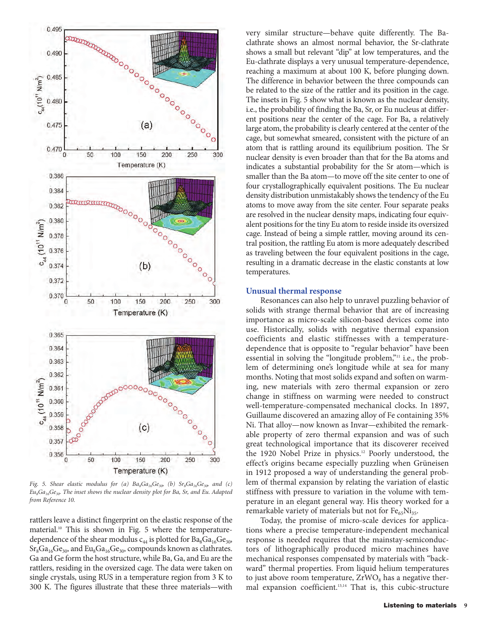

*Fig.* 5. Shear elastic modulus for (a)  $Ba_8Ga_{16}Ge_{30}$  (b)  $Sr_8Ga_{16}Ge_{30}$  and (c) *Eu8Ga16Ge30. The inset shows the nuclear density plot for Ba, Sr, and Eu. Adapted from Reference 10.*

rattlers leave a distinct fingerprint on the elastic response of the material.<sup>10</sup> This is shown in Fig. 5 where the temperaturedependence of the shear modulus  $c_{44}$  is plotted for  $Ba_8Ga_{16}Ge_{30}$ ,  $Sr_8Ga_{16}Ge_{30}$ , and  $Eu_8Ga_{16}Ge_{30}$ , compounds known as clathrates. Ga and Ge form the host structure, while Ba, Ga, and Eu are the rattlers, residing in the oversized cage. The data were taken on single crystals, using RUS in a temperature region from 3 K to 300 K. The figures illustrate that these three materials—with

very similar structure—behave quite differently. The Baclathrate shows an almost normal behavior, the Sr-clathrate shows a small but relevant "dip" at low temperatures, and the Eu-clathrate displays a very unusual temperature-dependence, reaching a maximum at about 100 K, before plunging down. The difference in behavior between the three compounds can be related to the size of the rattler and its position in the cage. The insets in Fig. 5 show what is known as the nuclear density, i.e., the probability of finding the Ba, Sr, or Eu nucleus at different positions near the center of the cage. For Ba, a relatively large atom, the probability is clearly centered at the center of the cage, but somewhat smeared, consistent with the picture of an atom that is rattling around its equilibrium position. The Sr nuclear density is even broader than that for the Ba atoms and indicates a substantial probability for the Sr atom—which is smaller than the Ba atom—to move off the site center to one of four crystallographically equivalent positions. The Eu nuclear density distribution unmistakably shows the tendency of the Eu atoms to move away from the site center. Four separate peaks are resolved in the nuclear density maps, indicating four equivalent positions for the tiny Eu atom to reside inside its oversized cage. Instead of being a simple rattler, moving around its central position, the rattling Eu atom is more adequately described as traveling between the four equivalent positions in the cage, resulting in a dramatic decrease in the elastic constants at low temperatures.

#### **Unusual thermal response**

Resonances can also help to unravel puzzling behavior of solids with strange thermal behavior that are of increasing importance as micro-scale silicon-based devices come into use. Historically, solids with negative thermal expansion coefficients and elastic stiffnesses with a temperaturedependence that is opposite to "regular behavior" have been essential in solving the "longitude problem,"<sup>11</sup> i.e., the problem of determining one's longitude while at sea for many months. Noting that most solids expand and soften on warming, new materials with zero thermal expansion or zero change in stiffness on warming were needed to construct well-temperature-compensated mechanical clocks. In 1897, Guillaume discovered an amazing alloy of Fe containing 35% Ni. That alloy—now known as Invar—exhibited the remarkable property of zero thermal expansion and was of such great technological importance that its discoverer received the 1920 Nobel Prize in physics.<sup>12</sup> Poorly understood, the effect's origins became especially puzzling when Grüneisen in 1912 proposed a way of understanding the general problem of thermal expansion by relating the variation of elastic stiffness with pressure to variation in the volume with temperature in an elegant general way. His theory worked for a remarkable variety of materials but not for  $Fe_{65}Ni_{35}$ .

Today, the promise of micro-scale devices for applications where a precise temperature-independent mechanical response is needed requires that the mainstay-semiconductors of lithographically produced micro machines have mechanical responses compensated by materials with "backward" thermal properties. From liquid helium temperatures to just above room temperature,  $ZrWO_8$  has a negative thermal expansion coefficient.<sup>13,14</sup> That is, this cubic-structure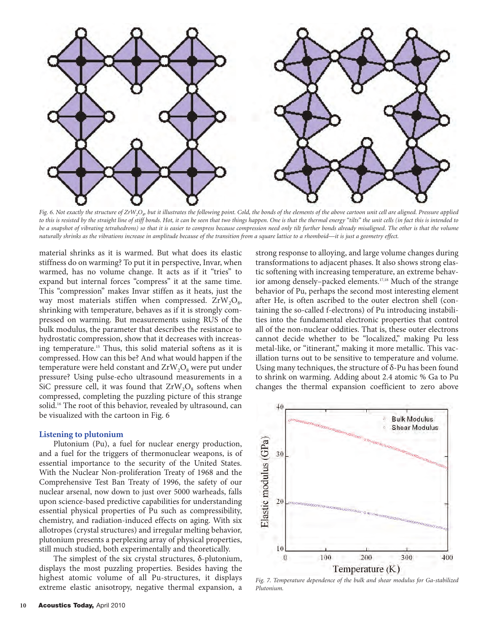

Fig. 6. Not exactly the structure of ZrW<sub>2</sub>O<sub>8</sub> but it illustrates the following point. Cold, the bonds of the elements of the above cartoon unit cell are aligned. Pressure applied *to this is resisted by the straight line of stiff bonds. Hot, it can be seen that two things happen. One is that the thermal energy "tilts" the unit cells (in fact this is intended to be a snapshot of vibrating tetrahedrons) so that it is easier to compress because compression need only tilt further bonds already misaligned. The other is that the volume naturally shrinks as the vibrations increase in amplitude because of the transition from a square lattice to a rhomboid—it is just a geometry effect.*

material shrinks as it is warmed. But what does its elastic stiffness do on warming? To put it in perspective, Invar, when warmed, has no volume change. It acts as if it "tries" to expand but internal forces "compress" it at the same time. This "compression" makes Invar stiffen as it heats, just the way most materials stiffen when compressed.  $ZrW_2O_8$ , shrinking with temperature, behaves as if it is strongly compressed on warming. But measurements using RUS of the bulk modulus, the parameter that describes the resistance to hydrostatic compression, show that it decreases with increasing temperature.15 Thus, this solid material softens as it is compressed. How can this be? And what would happen if the temperature were held constant and  $ZrW_2O_8$  were put under pressure? Using pulse-echo ultrasound measurements in a SiC pressure cell, it was found that  $ZrW_2O_8$  softens when compressed, completing the puzzling picture of this strange solid.<sup>16</sup> The root of this behavior, revealed by ultrasound, can be visualized with the cartoon in Fig. 6

#### **Listening to plutonium**

Plutonium (Pu), a fuel for nuclear energy production, and a fuel for the triggers of thermonuclear weapons, is of essential importance to the security of the United States. With the Nuclear Non-proliferation Treaty of 1968 and the Comprehensive Test Ban Treaty of 1996, the safety of our nuclear arsenal, now down to just over 5000 warheads, falls upon science-based predictive capabilities for understanding essential physical properties of Pu such as compressibility, chemistry, and radiation-induced effects on aging. With six allotropes (crystal structures) and irregular melting behavior, plutonium presents a perplexing array of physical properties, still much studied, both experimentally and theoretically.

The simplest of the six crystal structures, δ-plutonium, displays the most puzzling properties. Besides having the highest atomic volume of all Pu-structures, it displays extreme elastic anisotropy, negative thermal expansion, a strong response to alloying, and large volume changes during transformations to adjacent phases. It also shows strong elastic softening with increasing temperature, an extreme behavior among densely–packed elements.17,18 Much of the strange behavior of Pu, perhaps the second most interesting element after He, is often ascribed to the outer electron shell (containing the so-called f-electrons) of Pu introducing instabilities into the fundamental electronic properties that control all of the non-nuclear oddities. That is, these outer electrons cannot decide whether to be "localized," making Pu less metal-like, or "itinerant," making it more metallic. This vacillation turns out to be sensitive to temperature and volume. Using many techniques, the structure of δ-Pu has been found to shrink on warming. Adding about 2.4 atomic % Ga to Pu changes the thermal expansion coefficient to zero above



*Fig. 7. Temperature dependence of the bulk and shear modulus for Ga-stabilized Plutonium.*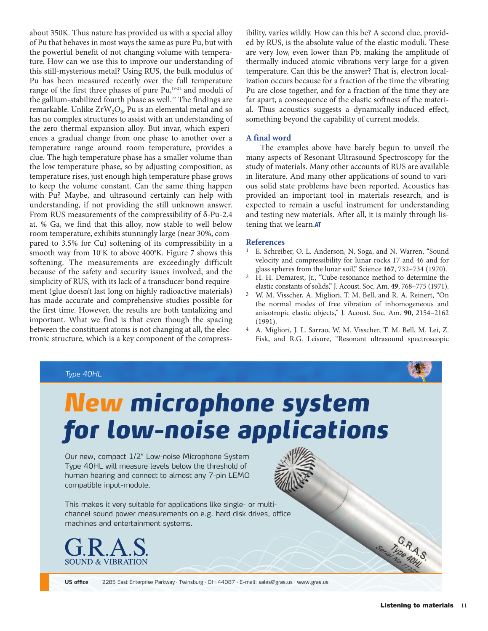about 350K. Thus nature has provided us with a special alloy of Pu that behaves in most ways the same as pure Pu, but with the powerful benefit of not changing volume with temperature. How can we use this to improve our understanding of this still-mysterious metal? Using RUS, the bulk modulus of Pu has been measured recently over the full temperature range of the first three phases of pure Pu,<sup>19-21</sup> and moduli of the gallium-stabilized fourth phase as well.<sup>22</sup> The findings are remarkable. Unlike  $ZrW_2O_8$ , Pu is an elemental metal and so has no complex structures to assist with an understanding of the zero thermal expansion alloy. But invar, which experiences a gradual change from one phase to another over a temperature range around room temperature, provides a clue. The high temperature phase has a smaller volume than the low temperature phase, so by adjusting composition, as temperature rises, just enough high temperature phase grows to keep the volume constant. Can the same thing happen with Pu? Maybe, and ultrasound certainly can help with understanding, if not providing the still unknown answer. From RUS measurements of the compressibility of δ-Pu-2.4 at. % Ga, we find that this alloy, now stable to well below room temperature, exhibits stunningly large (near 30%, compared to 3.5% for Cu) softening of its compressibility in a smooth way from  $10^{\circ}$ K to above  $400^{\circ}$ K. Figure 7 shows this softening. The measurements are exceedingly difficult because of the safety and security issues involved, and the simplicity of RUS, with its lack of a transducer bond requirement (glue doesn't last long on highly radioactive materials) has made accurate and comprehensive studies possible for the first time. However, the results are both tantalizing and important. What we find is that even though the spacing between the constituent atoms is not changing at all, the electronic structure, which is a key component of the compressibility, varies wildly. How can this be? A second clue, provided by RUS, is the absolute value of the elastic moduli. These are very low, even lower than Pb, making the amplitude of thermally-induced atomic vibrations very large for a given temperature. Can this be the answer? That is, electron localization occurs because for a fraction of the time the vibrating Pu are close together, and for a fraction of the time they are far apart, a consequence of the elastic softness of the material. Thus acoustics suggests a dynamically-induced effect, something beyond the capability of current models.

### **A final word**

The examples above have barely begun to unveil the many aspects of Resonant Ultrasound Spectroscopy for the study of materials. Many other accounts of RUS are available in literature. And many other applications of sound to various solid state problems have been reported. Acoustics has provided an important tool in materials research, and is expected to remain a useful instrument for understanding and testing new materials. After all, it is mainly through listening that we learn.**AT**

### **References**

- E. Schreiber, O. L. Anderson, N. Soga, and N. Warren, "Sound velocity and compressibility for lunar rocks 17 and 46 and for glass spheres from the lunar soil," Science **167**, 732–734 (1970).
- 2 H. H. Demarest, Jr., "Cube-resonance method to determine the elastic constants of solids," J. Acoust. Soc. Am. **49**, 768–775 (1971).
- 3 W. M. Visscher, A. Migliori, T. M. Bell, and R. A. Reinert, "On the normal modes of free vibration of inhomogeneous and anisotropic elastic objects," J. Acoust. Soc. Am. **90**, 2154–2162 (1991).
- 4 A. Migliori, J. L. Sarrao, W. M. Visscher, T. M. Bell, M. Lei, Z. Fisk, and R.G. Leisure, "Resonant ultrasound spectroscopic



**Listening to materials 11**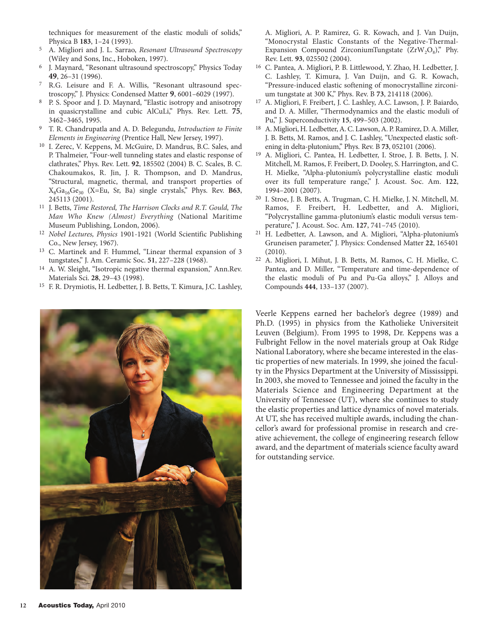techniques for measurement of the elastic moduli of solids," Physica B **183**, 1–24 (1993).

- 5 A. Migliori and J. L. Sarrao, *Resonant Ultrasound Spectroscopy* (Wiley and Sons, Inc., Hoboken, 1997).
- 6 J. Maynard, "Resonant ultrasound spectroscopy," Physics Today **49**, 26–31 (1996).
- 7 R.G. Leisure and F. A. Willis, "Resonant ultrasound spectroscopy," J. Physics: Condensed Matter **9**, 6001–6029 (1997).
- 8 P. S. Spoor and J. D. Maynard, "Elastic isotropy and anisotropy in quasicrystalline and cubic AlCuLi," Phys. Rev. Lett. **75**, 3462–3465, 1995.
- 9 T. R. Chandrupatla and A. D. Belegundu, *Introduction to Finite Elements in Engineering* (Prentice Hall, New Jersey, 1997).
- 10 I. Zerec, V. Keppens, M. McGuire, D. Mandrus, B.C. Sales, and P. Thalmeier, "Four-well tunneling states and elastic response of clathrates," Phys. Rev. Lett. **92**, 185502 (2004) B. C. Scales, B. C. Chakoumakos, R. Jin, J. R. Thompson, and D. Mandrus, "Structural, magnetic, thermal, and transport properties of  $X_8Ga_{16}Ge_{30}$  (X=Eu, Sr, Ba) single crystals," Phys. Rev. B63, 245113 (2001).
- 11 J. Betts, *Time Restored, The Harrison Clocks and R.T. Gould, The Man Who Knew (Almost) Everything* (National Maritime Museum Publishing, London, 2006).
- 12 *Nobel Lectures, Physics* 1901-1921 (World Scientific Publishing Co., New Jersey, 1967).
- 13 C. Martinek and F. Hummel, "Linear thermal expansion of 3 tungstates," J. Am. Ceramic Soc. **51**, 227–228 (1968).
- 14 A. W. Sleight, "Isotropic negative thermal expansion," Ann.Rev. Materials Sci. **28**, 29–43 (1998).
- 15 F. R. Drymiotis, H. Ledbetter, J. B. Betts, T. Kimura, J.C. Lashley,



A. Migliori, A. P. Ramirez, G. R. Kowach, and J. Van Duijn, "Monocrystal Elastic Constants of the Negative-Thermal-Expansion Compound ZirconiumTungstate  $(ZrW_2O_8)$ ," Phy. Rev. Lett. **93**, 025502 (2004).

- 16 C. Pantea, A. Migliori, P. B. Littlewood, Y. Zhao, H. Ledbetter, J. C. Lashley, T. Kimura, J. Van Duijn, and G. R. Kowach, "Pressure-induced elastic softening of monocrystalline zirconium tungstate at 300 K," Phys. Rev. B **73**, 214118 (2006).
- 17 A. Migliori, F. Freibert, J. C. Lashley, A.C. Lawson, J. P. Baiardo, and D. A. Miller, "Thermodynamics and the elastic moduli of Pu," J. Superconductivity **15**, 499–503 (2002).
- 18 A. Migliori, H. Ledbetter, A. C. Lawson, A. P. Ramirez, D. A. Miller, J. B. Betts, M. Ramos, and J. C. Lashley, "Unexpected elastic softening in delta-plutonium," Phys. Rev. B **73**, 052101 (2006).
- 19 A. Migliori, C. Pantea, H. Ledbetter, I. Stroe, J. B. Betts, J. N. Mitchell, M. Ramos, F. Freibert, D. Dooley, S. Harrington, and C. H. Mielke, "Alpha-plutonium's polycrystalline elastic moduli over its full temperature range," J. Acoust. Soc. Am. **122**, 1994–2001 (2007).
- 20 I. Stroe, J. B. Betts, A. Trugman, C. H. Mielke, J. N. Mitchell, M. Ramos, F. Freibert, H. Ledbetter, and A. Migliori, "Polycrystalline gamma-plutonium's elastic moduli versus temperature," J. Acoust. Soc. Am. **127**, 741–745 (2010).
- 21 H. Ledbetter, A. Lawson, and A. Migliori, "Alpha-plutonium's Gruneisen parameter," J. Physics: Condensed Matter **22**, 165401 (2010).
- 22 A. Migliori, I. Mihut, J. B. Betts, M. Ramos, C. H. Mielke, C. Pantea, and D. Miller, "Temperature and time-dependence of the elastic moduli of Pu and Pu-Ga alloys," J. Alloys and Compounds **444**, 133–137 (2007).

Veerle Keppens earned her bachelor's degree (1989) and Ph.D. (1995) in physics from the Katholieke Universiteit Leuven (Belgium). From 1995 to 1998, Dr. Keppens was a Fulbright Fellow in the novel materials group at Oak Ridge National Laboratory, where she became interested in the elastic properties of new materials. In 1999, she joined the faculty in the Physics Department at the University of Mississippi. In 2003, she moved to Tennessee and joined the faculty in the Materials Science and Engineering Department at the University of Tennessee (UT), where she continues to study the elastic properties and lattice dynamics of novel materials. At UT, she has received multiple awards, including the chancellor's award for professional promise in research and creative achievement, the college of engineering research fellow award, and the department of materials science faculty award for outstanding service.